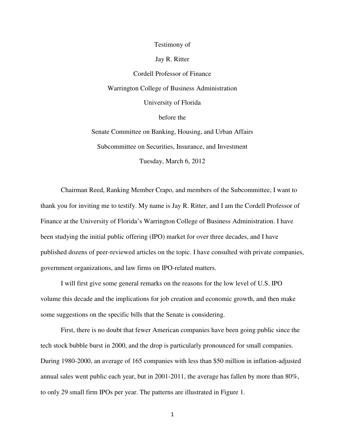## Testimony of

# Jay R. Ritter

Cordell Professor of Finance Warrington College of Business Administration University of Florida before the Senate Committee on Banking, Housing, and Urban Affairs

Subcommittee on Securities, Insurance, and Investment

Tuesday, March 6, 2012

Chairman Reed, Ranking Member Crapo, and members of the Subcommittee, I want to thank you for inviting me to testify. My name is Jay R. Ritter, and I am the Cordell Professor of Finance at the University of Florida's Warrington College of Business Administration. I have been studying the initial public offering (IPO) market for over three decades, and I have published dozens of peer-reviewed articles on the topic. I have consulted with private companies, government organizations, and law firms on IPO-related matters.

I will first give some general remarks on the reasons for the low level of U.S. IPO volume this decade and the implications for job creation and economic growth, and then make some suggestions on the specific bills that the Senate is considering.

First, there is no doubt that fewer American companies have been going public since the tech stock bubble burst in 2000, and the drop is particularly pronounced for small companies. During 1980-2000, an average of 165 companies with less than \$50 million in inflation-adjusted annual sales went public each year, but in 2001-2011, the average has fallen by more than 80%, to only 29 small firm IPOs per year. The patterns are illustrated in Figure 1.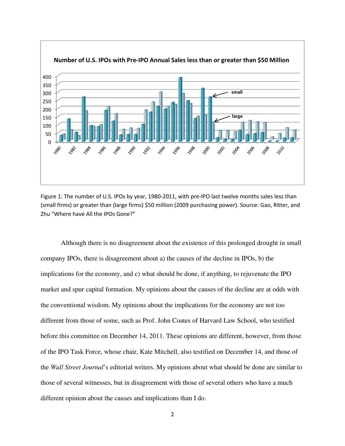

Figure 1: The number of U.S. IPOs by year, 1980-2011, with pre-IPO last twelve months sales less than (small firms) or greater than (large firms) \$50 million (2009 purchasing power). Source: Gao, Ritter, and Zhu "Where have All the IPOs Gone?"

Although there is no disagreement about the existence of this prolonged drought in small company IPOs, there is disagreement about a) the causes of the decline in IPOs, b) the implications for the economy, and c) what should be done, if anything, to rejuvenate the IPO market and spur capital formation. My opinions about the causes of the decline are at odds with the conventional wisdom. My opinions about the implications for the economy are not too different from those of some, such as Prof. John Coates of Harvard Law School, who testified before this committee on December 14, 2011. These opinions are different, however, from those of the IPO Task Force, whose chair, Kate Mitchell, also testified on December 14, and those of the *Wall Street Journal*'s editorial writers. My opinions about what should be done are similar to those of several witnesses, but in disagreement with those of several others who have a much different opinion about the causes and implications than I do.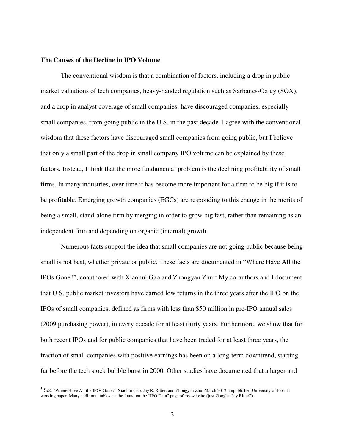## **The Causes of the Decline in IPO Volume**

l

The conventional wisdom is that a combination of factors, including a drop in public market valuations of tech companies, heavy-handed regulation such as Sarbanes-Oxley (SOX), and a drop in analyst coverage of small companies, have discouraged companies, especially small companies, from going public in the U.S. in the past decade. I agree with the conventional wisdom that these factors have discouraged small companies from going public, but I believe that only a small part of the drop in small company IPO volume can be explained by these factors. Instead, I think that the more fundamental problem is the declining profitability of small firms. In many industries, over time it has become more important for a firm to be big if it is to be profitable. Emerging growth companies (EGCs) are responding to this change in the merits of being a small, stand-alone firm by merging in order to grow big fast, rather than remaining as an independent firm and depending on organic (internal) growth.

Numerous facts support the idea that small companies are not going public because being small is not best, whether private or public. These facts are documented in "Where Have All the IPOs Gone?", coauthored with Xiaohui Gao and Zhongyan Zhu.<sup>1</sup> My co-authors and I document that U.S. public market investors have earned low returns in the three years after the IPO on the IPOs of small companies, defined as firms with less than \$50 million in pre-IPO annual sales (2009 purchasing power), in every decade for at least thirty years. Furthermore, we show that for both recent IPOs and for public companies that have been traded for at least three years, the fraction of small companies with positive earnings has been on a long-term downtrend, starting far before the tech stock bubble burst in 2000. Other studies have documented that a larger and

 $^1$  See "Where Have All the IPOs Gone?" Xiaohui Gao, Jay R. Ritter, and Zhongyan Zhu, March 2012, unpublished University of Florida working paper. Many additional tables can be found on the "IPO Data" page of my website (just Google "Jay Ritter").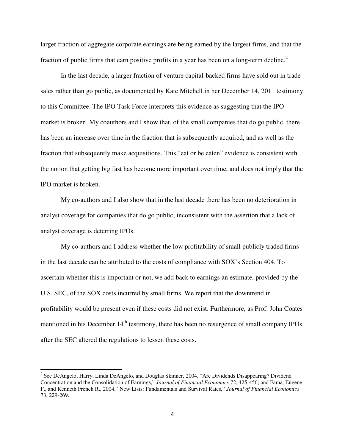larger fraction of aggregate corporate earnings are being earned by the largest firms, and that the fraction of public firms that earn positive profits in a year has been on a long-term decline.<sup>2</sup>

In the last decade, a larger fraction of venture capital-backed firms have sold out in trade sales rather than go public, as documented by Kate Mitchell in her December 14, 2011 testimony to this Committee. The IPO Task Force interprets this evidence as suggesting that the IPO market is broken. My coauthors and I show that, of the small companies that do go public, there has been an increase over time in the fraction that is subsequently acquired, and as well as the fraction that subsequently make acquisitions. This "eat or be eaten" evidence is consistent with the notion that getting big fast has become more important over time, and does not imply that the IPO market is broken.

My co-authors and I also show that in the last decade there has been no deterioration in analyst coverage for companies that do go public, inconsistent with the assertion that a lack of analyst coverage is deterring IPOs.

My co-authors and I address whether the low profitability of small publicly traded firms in the last decade can be attributed to the costs of compliance with SOX's Section 404. To ascertain whether this is important or not, we add back to earnings an estimate, provided by the U.S. SEC, of the SOX costs incurred by small firms. We report that the downtrend in profitability would be present even if these costs did not exist. Furthermore, as Prof. John Coates mentioned in his December 14<sup>th</sup> testimony, there has been no resurgence of small company IPOs after the SEC altered the regulations to lessen these costs.

<sup>&</sup>lt;sup>2</sup> See DeAngelo, Harry, Linda DeAngelo, and Douglas Skinner, 2004, "Are Dividends Disappearing? Dividend Concentration and the Consolidation of Earnings," *Journal of Financial Economics* 72, 425-456; and Fama, Eugene F., and Kenneth French R., 2004, "New Lists: Fundamentals and Survival Rates," *Journal of Financial Economics* 73, 229-269.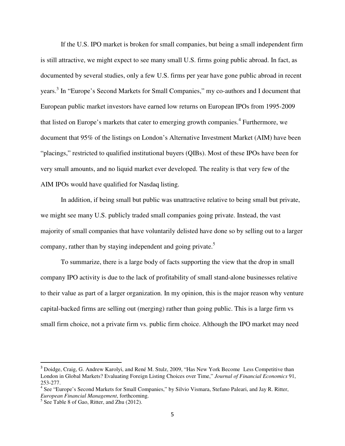If the U.S. IPO market is broken for small companies, but being a small independent firm is still attractive, we might expect to see many small U.S. firms going public abroad. In fact, as documented by several studies, only a few U.S. firms per year have gone public abroad in recent years.<sup>3</sup> In "Europe's Second Markets for Small Companies," my co-authors and I document that European public market investors have earned low returns on European IPOs from 1995-2009 that listed on Europe's markets that cater to emerging growth companies.<sup>4</sup> Furthermore, we document that 95% of the listings on London's Alternative Investment Market (AIM) have been "placings," restricted to qualified institutional buyers (QIBs). Most of these IPOs have been for very small amounts, and no liquid market ever developed. The reality is that very few of the AIM IPOs would have qualified for Nasdaq listing.

In addition, if being small but public was unattractive relative to being small but private, we might see many U.S. publicly traded small companies going private. Instead, the vast majority of small companies that have voluntarily delisted have done so by selling out to a larger company, rather than by staying independent and going private.<sup>5</sup>

To summarize, there is a large body of facts supporting the view that the drop in small company IPO activity is due to the lack of profitability of small stand-alone businesses relative to their value as part of a larger organization. In my opinion, this is the major reason why venture capital-backed firms are selling out (merging) rather than going public. This is a large firm vs small firm choice, not a private firm vs. public firm choice. Although the IPO market may need

<sup>&</sup>lt;sup>3</sup> Doidge, Craig, G. Andrew Karolyi, and René M. Stulz, 2009, "Has New York Become Less Competitive than London in Global Markets? Evaluating Foreign Listing Choices over Time," *Journal of Financial Economics* 91, 253-277.

<sup>&</sup>lt;sup>4</sup> See "Europe's Second Markets for Small Companies," by Silvio Vismara, Stefano Paleari, and Jay R. Ritter, *European Financial Management*, forthcoming.

<sup>&</sup>lt;sup>5</sup> See Table 8 of Gao, Ritter, and Zhu (2012).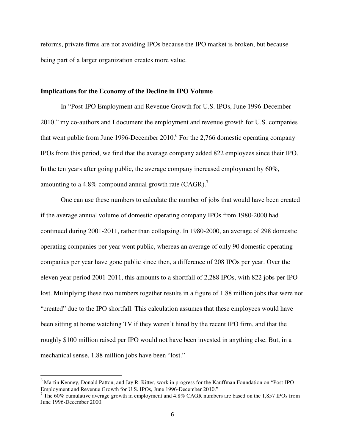reforms, private firms are not avoiding IPOs because the IPO market is broken, but because being part of a larger organization creates more value.

## **Implications for the Economy of the Decline in IPO Volume**

In "Post-IPO Employment and Revenue Growth for U.S. IPOs, June 1996-December 2010," my co-authors and I document the employment and revenue growth for U.S. companies that went public from June 1996-December  $2010<sup>6</sup>$  For the 2,766 domestic operating company IPOs from this period, we find that the average company added 822 employees since their IPO. In the ten years after going public, the average company increased employment by 60%, amounting to a 4.8% compound annual growth rate (CAGR).<sup>7</sup>

One can use these numbers to calculate the number of jobs that would have been created if the average annual volume of domestic operating company IPOs from 1980-2000 had continued during 2001-2011, rather than collapsing. In 1980-2000, an average of 298 domestic operating companies per year went public, whereas an average of only 90 domestic operating companies per year have gone public since then, a difference of 208 IPOs per year. Over the eleven year period 2001-2011, this amounts to a shortfall of 2,288 IPOs, with 822 jobs per IPO lost. Multiplying these two numbers together results in a figure of 1.88 million jobs that were not "created" due to the IPO shortfall. This calculation assumes that these employees would have been sitting at home watching TV if they weren't hired by the recent IPO firm, and that the roughly \$100 million raised per IPO would not have been invested in anything else. But, in a mechanical sense, 1.88 million jobs have been "lost."

<sup>&</sup>lt;sup>6</sup> Martin Kenney, Donald Patton, and Jay R. Ritter, work in progress for the Kauffman Foundation on "Post-IPO"

Employment and Revenue Growth for U.S. IPOs, June 1996-December 2010."<br><sup>7</sup> The 60% cumulative average growth in employment and 4.8% CAGR numbers are based on the 1,857 IPOs from June 1996-December 2000.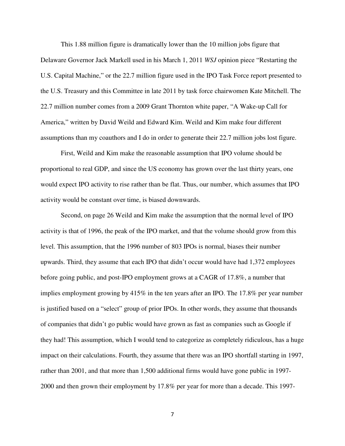This 1.88 million figure is dramatically lower than the 10 million jobs figure that Delaware Governor Jack Markell used in his March 1, 2011 *WSJ* opinion piece "Restarting the U.S. Capital Machine," or the 22.7 million figure used in the IPO Task Force report presented to the U.S. Treasury and this Committee in late 2011 by task force chairwomen Kate Mitchell. The 22.7 million number comes from a 2009 Grant Thornton white paper, "A Wake-up Call for America," written by David Weild and Edward Kim. Weild and Kim make four different assumptions than my coauthors and I do in order to generate their 22.7 million jobs lost figure.

First, Weild and Kim make the reasonable assumption that IPO volume should be proportional to real GDP, and since the US economy has grown over the last thirty years, one would expect IPO activity to rise rather than be flat. Thus, our number, which assumes that IPO activity would be constant over time, is biased downwards.

Second, on page 26 Weild and Kim make the assumption that the normal level of IPO activity is that of 1996, the peak of the IPO market, and that the volume should grow from this level. This assumption, that the 1996 number of 803 IPOs is normal, biases their number upwards. Third, they assume that each IPO that didn't occur would have had 1,372 employees before going public, and post-IPO employment grows at a CAGR of 17.8%, a number that implies employment growing by 415% in the ten years after an IPO. The 17.8% per year number is justified based on a "select" group of prior IPOs. In other words, they assume that thousands of companies that didn't go public would have grown as fast as companies such as Google if they had! This assumption, which I would tend to categorize as completely ridiculous, has a huge impact on their calculations. Fourth, they assume that there was an IPO shortfall starting in 1997, rather than 2001, and that more than 1,500 additional firms would have gone public in 1997- 2000 and then grown their employment by 17.8% per year for more than a decade. This 1997-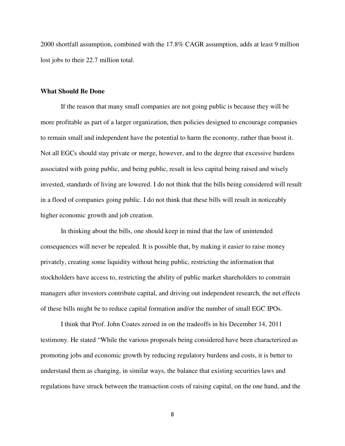2000 shortfall assumption, combined with the 17.8% CAGR assumption, adds at least 9 million lost jobs to their 22.7 million total.

### **What Should Be Done**

If the reason that many small companies are not going public is because they will be more profitable as part of a larger organization, then policies designed to encourage companies to remain small and independent have the potential to harm the economy, rather than boost it. Not all EGCs should stay private or merge, however, and to the degree that excessive burdens associated with going public, and being public, result in less capital being raised and wisely invested, standards of living are lowered. I do not think that the bills being considered will result in a flood of companies going public. I do not think that these bills will result in noticeably higher economic growth and job creation.

In thinking about the bills, one should keep in mind that the law of unintended consequences will never be repealed. It is possible that, by making it easier to raise money privately, creating some liquidity without being public, restricting the information that stockholders have access to, restricting the ability of public market shareholders to constrain managers after investors contribute capital, and driving out independent research, the net effects of these bills might be to reduce capital formation and/or the number of small EGC IPOs.

I think that Prof. John Coates zeroed in on the tradeoffs in his December 14, 2011 testimony. He stated "While the various proposals being considered have been characterized as promoting jobs and economic growth by reducing regulatory burdens and costs, it is better to understand them as changing, in similar ways, the balance that existing securities laws and regulations have struck between the transaction costs of raising capital, on the one hand, and the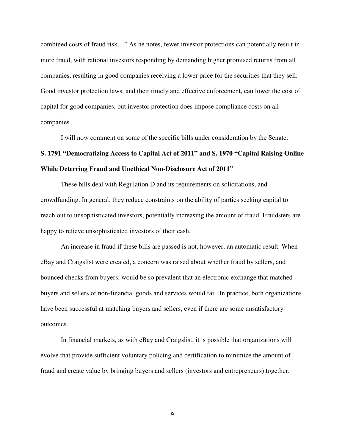combined costs of fraud risk…" As he notes, fewer investor protections can potentially result in more fraud, with rational investors responding by demanding higher promised returns from all companies, resulting in good companies receiving a lower price for the securities that they sell. Good investor protection laws, and their timely and effective enforcement, can lower the cost of capital for good companies, but investor protection does impose compliance costs on all companies.

I will now comment on some of the specific bills under consideration by the Senate: **S. 1791 "Democratizing Access to Capital Act of 2011" and S. 1970 "Capital Raising Online While Deterring Fraud and Unethical Non-Disclosure Act of 2011"**

These bills deal with Regulation D and its requirements on solicitations, and crowdfunding. In general, they reduce constraints on the ability of parties seeking capital to reach out to unsophisticated investors, potentially increasing the amount of fraud. Fraudsters are happy to relieve unsophisticated investors of their cash.

An increase in fraud if these bills are passed is not, however, an automatic result. When eBay and Craigslist were created, a concern was raised about whether fraud by sellers, and bounced checks from buyers, would be so prevalent that an electronic exchange that matched buyers and sellers of non-financial goods and services would fail. In practice, both organizations have been successful at matching buyers and sellers, even if there are some unsatisfactory outcomes.

In financial markets, as with eBay and Craigslist, it is possible that organizations will evolve that provide sufficient voluntary policing and certification to minimize the amount of fraud and create value by bringing buyers and sellers (investors and entrepreneurs) together.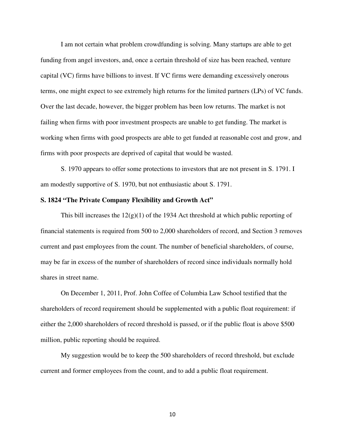I am not certain what problem crowdfunding is solving. Many startups are able to get funding from angel investors, and, once a certain threshold of size has been reached, venture capital (VC) firms have billions to invest. If VC firms were demanding excessively onerous terms, one might expect to see extremely high returns for the limited partners (LPs) of VC funds. Over the last decade, however, the bigger problem has been low returns. The market is not failing when firms with poor investment prospects are unable to get funding. The market is working when firms with good prospects are able to get funded at reasonable cost and grow, and firms with poor prospects are deprived of capital that would be wasted.

S. 1970 appears to offer some protections to investors that are not present in S. 1791. I am modestly supportive of S. 1970, but not enthusiastic about S. 1791.

# **S. 1824 "The Private Company Flexibility and Growth Act"**

This bill increases the  $12(g)(1)$  of the 1934 Act threshold at which public reporting of financial statements is required from 500 to 2,000 shareholders of record, and Section 3 removes current and past employees from the count. The number of beneficial shareholders, of course, may be far in excess of the number of shareholders of record since individuals normally hold shares in street name.

On December 1, 2011, Prof. John Coffee of Columbia Law School testified that the shareholders of record requirement should be supplemented with a public float requirement: if either the 2,000 shareholders of record threshold is passed, or if the public float is above \$500 million, public reporting should be required.

My suggestion would be to keep the 500 shareholders of record threshold, but exclude current and former employees from the count, and to add a public float requirement.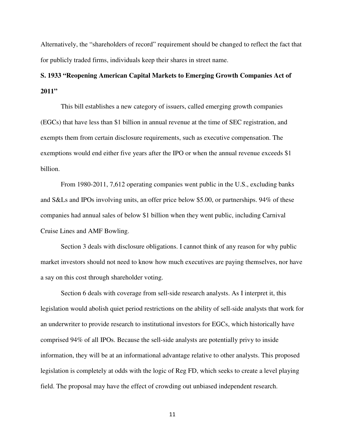Alternatively, the "shareholders of record" requirement should be changed to reflect the fact that for publicly traded firms, individuals keep their shares in street name.

# **S. 1933 "Reopening American Capital Markets to Emerging Growth Companies Act of 2011"**

 This bill establishes a new category of issuers, called emerging growth companies (EGCs) that have less than \$1 billion in annual revenue at the time of SEC registration, and exempts them from certain disclosure requirements, such as executive compensation. The exemptions would end either five years after the IPO or when the annual revenue exceeds \$1 billion.

 From 1980-2011, 7,612 operating companies went public in the U.S., excluding banks and S&Ls and IPOs involving units, an offer price below \$5.00, or partnerships. 94% of these companies had annual sales of below \$1 billion when they went public, including Carnival Cruise Lines and AMF Bowling.

 Section 3 deals with disclosure obligations. I cannot think of any reason for why public market investors should not need to know how much executives are paying themselves, nor have a say on this cost through shareholder voting.

Section 6 deals with coverage from sell-side research analysts. As I interpret it, this legislation would abolish quiet period restrictions on the ability of sell-side analysts that work for an underwriter to provide research to institutional investors for EGCs, which historically have comprised 94% of all IPOs. Because the sell-side analysts are potentially privy to inside information, they will be at an informational advantage relative to other analysts. This proposed legislation is completely at odds with the logic of Reg FD, which seeks to create a level playing field. The proposal may have the effect of crowding out unbiased independent research.